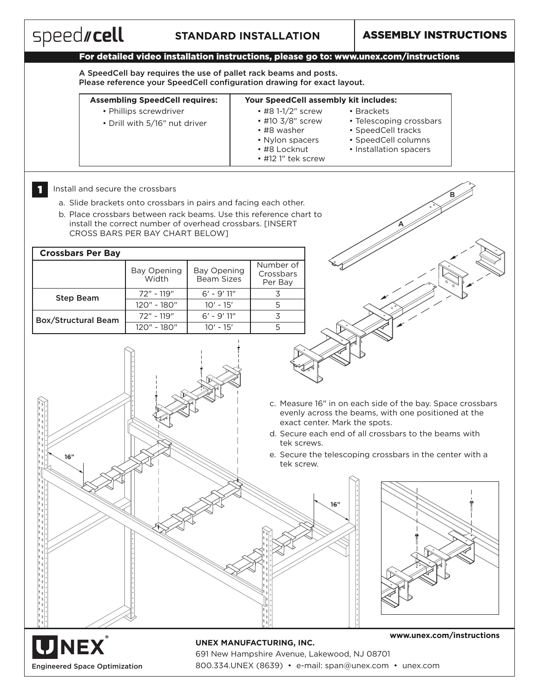

Engineered Space Optimization

691 New Hampshire Avenue, Lakewood, NJ 08701 800.334.UNEX (8639) • e-mail: span@unex.com • unex.com